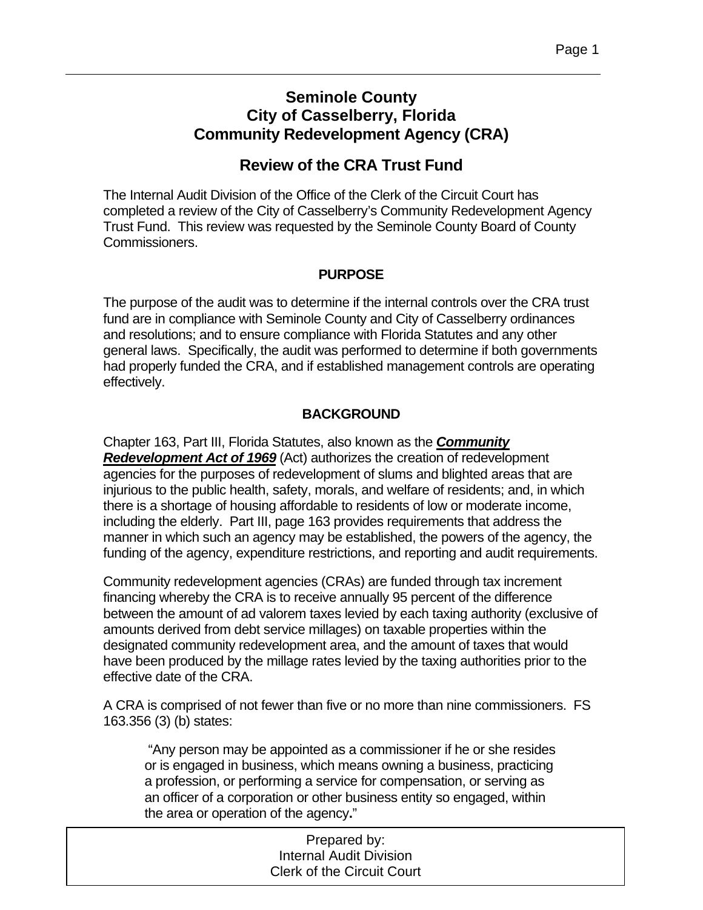# **Seminole County City of Casselberry, Florida Community Redevelopment Agency (CRA)**

# **Review of the CRA Trust Fund**

The Internal Audit Division of the Office of the Clerk of the Circuit Court has completed a review of the City of Casselberry's Community Redevelopment Agency Trust Fund. This review was requested by the Seminole County Board of County Commissioners.

### **PURPOSE**

The purpose of the audit was to determine if the internal controls over the CRA trust fund are in compliance with Seminole County and City of Casselberry ordinances and resolutions; and to ensure compliance with Florida Statutes and any other general laws. Specifically, the audit was performed to determine if both governments had properly funded the CRA, and if established management controls are operating effectively.

## **BACKGROUND**

Chapter 163, Part III, Florida Statutes, also known as the *Community Redevelopment Act of 1969* (Act) authorizes the creation of redevelopment agencies for the purposes of redevelopment of slums and blighted areas that are injurious to the public health, safety, morals, and welfare of residents; and, in which there is a shortage of housing affordable to residents of low or moderate income, including the elderly. Part III, page 163 provides requirements that address the manner in which such an agency may be established, the powers of the agency, the funding of the agency, expenditure restrictions, and reporting and audit requirements.

Community redevelopment agencies (CRAs) are funded through tax increment financing whereby the CRA is to receive annually 95 percent of the difference between the amount of ad valorem taxes levied by each taxing authority (exclusive of amounts derived from debt service millages) on taxable properties within the designated community redevelopment area, and the amount of taxes that would have been produced by the millage rates levied by the taxing authorities prior to the effective date of the CRA.

A CRA is comprised of not fewer than five or no more than nine commissioners. FS 163.356 (3) (b) states:

 "Any person may be appointed as a commissioner if he or she resides or is engaged in business, which means owning a business, practicing a profession, or performing a service for compensation, or serving as an officer of a corporation or other business entity so engaged, within the area or operation of the agency**.**"

| Prepared by:                      |  |
|-----------------------------------|--|
| <b>Internal Audit Division</b>    |  |
| <b>Clerk of the Circuit Court</b> |  |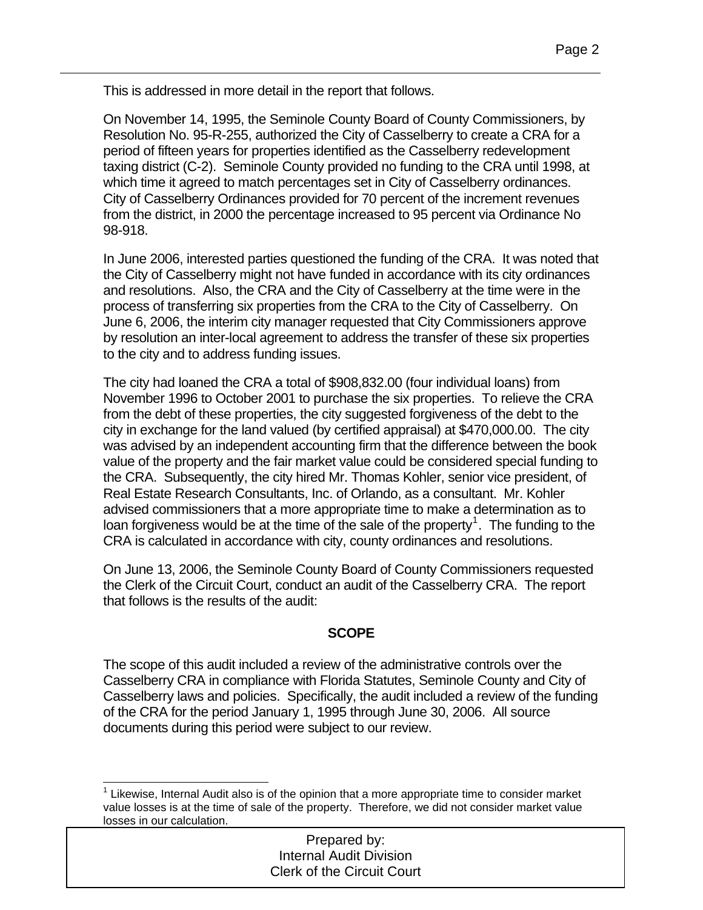This is addressed in more detail in the report that follows.

On November 14, 1995, the Seminole County Board of County Commissioners, by Resolution No. 95-R-255, authorized the City of Casselberry to create a CRA for a period of fifteen years for properties identified as the Casselberry redevelopment taxing district (C-2). Seminole County provided no funding to the CRA until 1998, at which time it agreed to match percentages set in City of Casselberry ordinances. City of Casselberry Ordinances provided for 70 percent of the increment revenues from the district, in 2000 the percentage increased to 95 percent via Ordinance No 98-918.

In June 2006, interested parties questioned the funding of the CRA. It was noted that the City of Casselberry might not have funded in accordance with its city ordinances and resolutions. Also, the CRA and the City of Casselberry at the time were in the process of transferring six properties from the CRA to the City of Casselberry. On June 6, 2006, the interim city manager requested that City Commissioners approve by resolution an inter-local agreement to address the transfer of these six properties to the city and to address funding issues.

The city had loaned the CRA a total of \$908,832.00 (four individual loans) from November 1996 to October 2001 to purchase the six properties. To relieve the CRA from the debt of these properties, the city suggested forgiveness of the debt to the city in exchange for the land valued (by certified appraisal) at \$470,000.00. The city was advised by an independent accounting firm that the difference between the book value of the property and the fair market value could be considered special funding to the CRA. Subsequently, the city hired Mr. Thomas Kohler, senior vice president, of Real Estate Research Consultants, Inc. of Orlando, as a consultant. Mr. Kohler advised commissioners that a more appropriate time to make a determination as to loan forgiveness would be at the time of the sale of the property<sup>[1](#page-1-0)</sup>. The funding to the CRA is calculated in accordance with city, county ordinances and resolutions.

On June 13, 2006, the Seminole County Board of County Commissioners requested the Clerk of the Circuit Court, conduct an audit of the Casselberry CRA. The report that follows is the results of the audit:

### **SCOPE**

The scope of this audit included a review of the administrative controls over the Casselberry CRA in compliance with Florida Statutes, Seminole County and City of Casselberry laws and policies. Specifically, the audit included a review of the funding of the CRA for the period January 1, 1995 through June 30, 2006. All source documents during this period were subject to our review.

l

#### Prepared by: Internal Audit Division Clerk of the Circuit Court

<span id="page-1-0"></span><sup>1</sup>  $1$  Likewise, Internal Audit also is of the opinion that a more appropriate time to consider market value losses is at the time of sale of the property. Therefore, we did not consider market value losses in our calculation.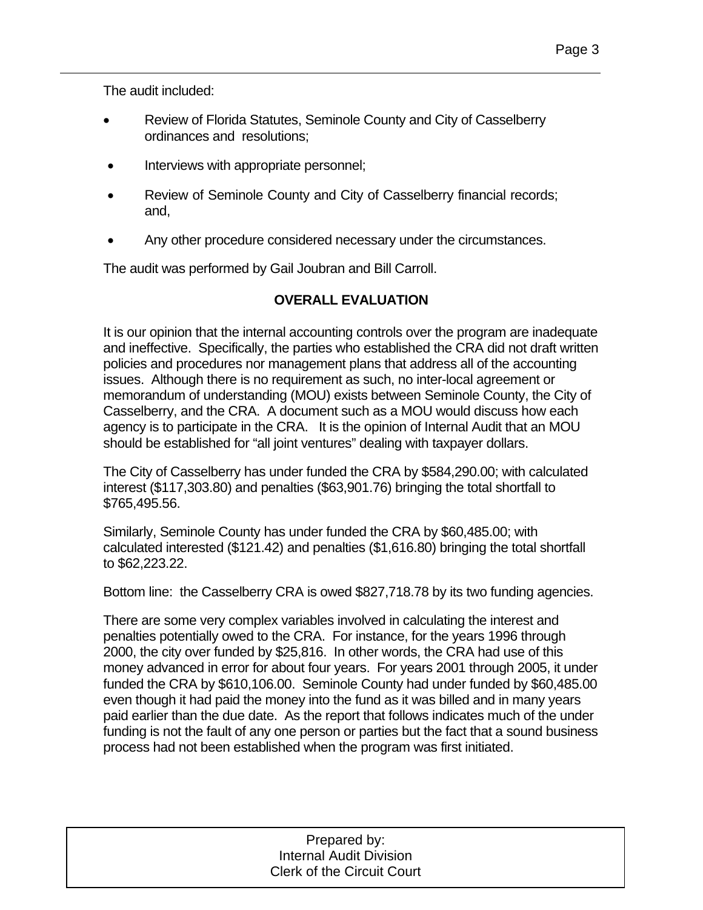The audit included:

- Review of Florida Statutes, Seminole County and City of Casselberry ordinances and resolutions;
- Interviews with appropriate personnel;
- Review of Seminole County and City of Casselberry financial records; and,
- Any other procedure considered necessary under the circumstances.

The audit was performed by Gail Joubran and Bill Carroll.

### **OVERALL EVALUATION**

It is our opinion that the internal accounting controls over the program are inadequate and ineffective. Specifically, the parties who established the CRA did not draft written policies and procedures nor management plans that address all of the accounting issues. Although there is no requirement as such, no inter-local agreement or memorandum of understanding (MOU) exists between Seminole County, the City of Casselberry, and the CRA. A document such as a MOU would discuss how each agency is to participate in the CRA. It is the opinion of Internal Audit that an MOU should be established for "all joint ventures" dealing with taxpayer dollars.

The City of Casselberry has under funded the CRA by \$584,290.00; with calculated interest (\$117,303.80) and penalties (\$63,901.76) bringing the total shortfall to \$765,495.56.

Similarly, Seminole County has under funded the CRA by \$60,485.00; with calculated interested (\$121.42) and penalties (\$1,616.80) bringing the total shortfall to \$62,223.22.

Bottom line: the Casselberry CRA is owed \$827,718.78 by its two funding agencies.

There are some very complex variables involved in calculating the interest and penalties potentially owed to the CRA. For instance, for the years 1996 through 2000, the city over funded by \$25,816. In other words, the CRA had use of this money advanced in error for about four years. For years 2001 through 2005, it under funded the CRA by \$610,106.00. Seminole County had under funded by \$60,485.00 even though it had paid the money into the fund as it was billed and in many years paid earlier than the due date. As the report that follows indicates much of the under funding is not the fault of any one person or parties but the fact that a sound business process had not been established when the program was first initiated.

| Prepared by:                      |
|-----------------------------------|
| <b>Internal Audit Division</b>    |
| <b>Clerk of the Circuit Court</b> |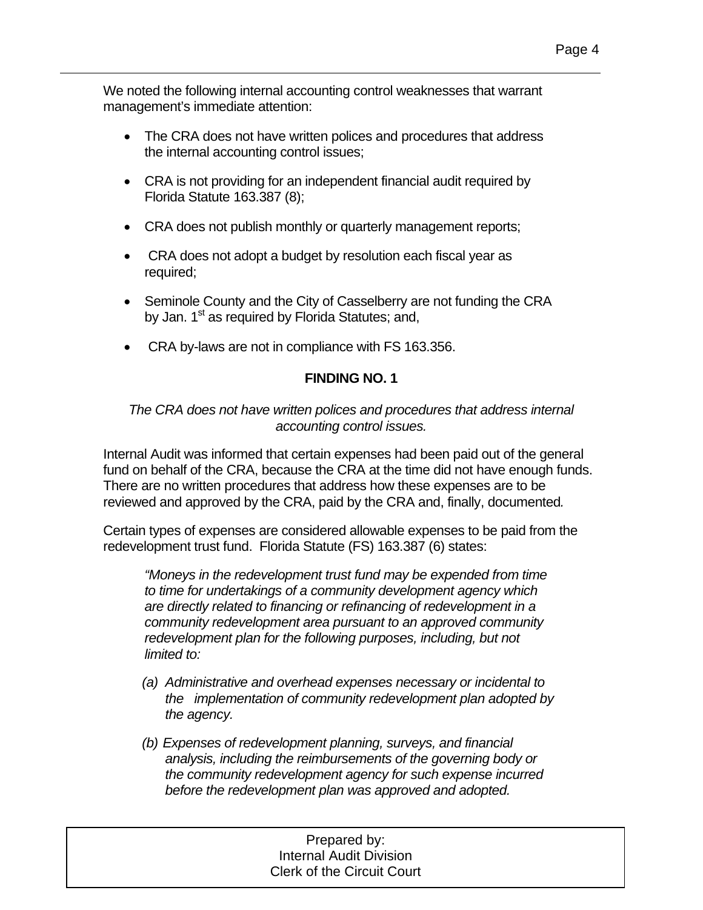We noted the following internal accounting control weaknesses that warrant management's immediate attention:

- The CRA does not have written polices and procedures that address the internal accounting control issues;
- CRA is not providing for an independent financial audit required by Florida Statute 163.387 (8);
- CRA does not publish monthly or quarterly management reports;
- CRA does not adopt a budget by resolution each fiscal year as required;
- Seminole County and the City of Casselberry are not funding the CRA by Jan. 1<sup>st</sup> as required by Florida Statutes; and,
- CRA by-laws are not in compliance with FS 163.356.

### **FINDING NO. 1**

#### *The CRA does not have written polices and procedures that address internal accounting control issues.*

Internal Audit was informed that certain expenses had been paid out of the general fund on behalf of the CRA, because the CRA at the time did not have enough funds. There are no written procedures that address how these expenses are to be reviewed and approved by the CRA, paid by the CRA and, finally, documented*.* 

Certain types of expenses are considered allowable expenses to be paid from the redevelopment trust fund. Florida Statute (FS) 163.387 (6) states:

*"Moneys in the redevelopment trust fund may be expended from time to time for undertakings of a community development agency which are directly related to financing or refinancing of redevelopment in a community redevelopment area pursuant to an approved community redevelopment plan for the following purposes, including, but not limited to:* 

- *(a) Administrative and overhead expenses necessary or incidental to the implementation of community redevelopment plan adopted by the agency.*
- *(b) Expenses of redevelopment planning, surveys, and financial analysis, including the reimbursements of the governing body or the community redevelopment agency for such expense incurred before the redevelopment plan was approved and adopted.*

#### 1 Prepared by: Internal Audit Division Clerk of the Circuit Court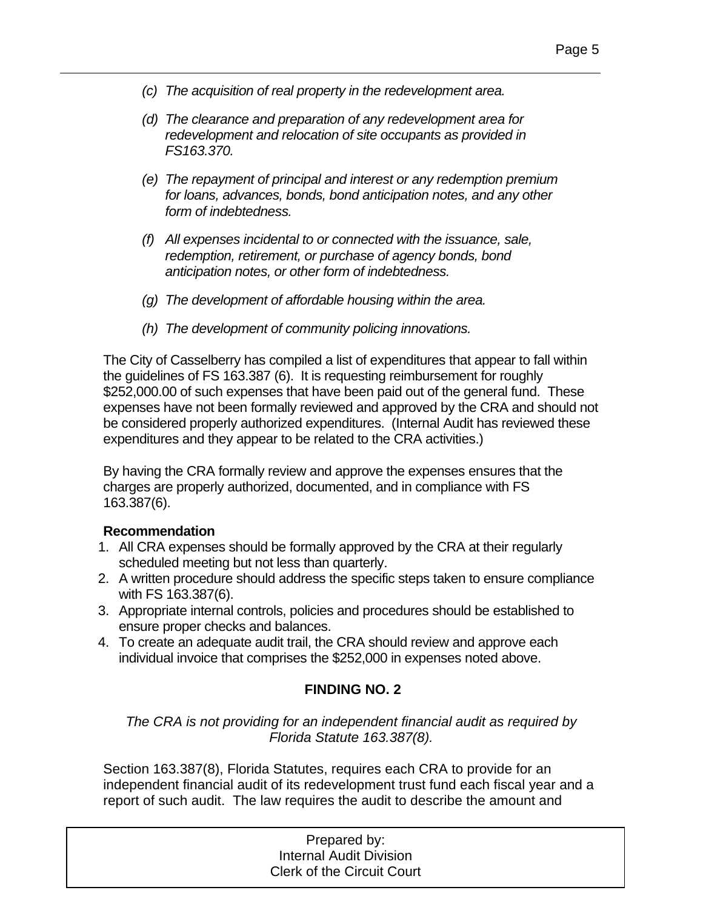- *(c) The acquisition of real property in the redevelopment area.*
- *(d) The clearance and preparation of any redevelopment area for redevelopment and relocation of site occupants as provided in FS163.370.*
- *(e) The repayment of principal and interest or any redemption premium for loans, advances, bonds, bond anticipation notes, and any other form of indebtedness.*
- *(f) All expenses incidental to or connected with the issuance, sale, redemption, retirement, or purchase of agency bonds, bond anticipation notes, or other form of indebtedness.*
- *(g) The development of affordable housing within the area.*
- *(h) The development of community policing innovations.*

The City of Casselberry has compiled a list of expenditures that appear to fall within the guidelines of FS 163.387 (6). It is requesting reimbursement for roughly \$252,000.00 of such expenses that have been paid out of the general fund. These expenses have not been formally reviewed and approved by the CRA and should not be considered properly authorized expenditures. (Internal Audit has reviewed these expenditures and they appear to be related to the CRA activities.)

By having the CRA formally review and approve the expenses ensures that the charges are properly authorized, documented, and in compliance with FS 163.387(6).

#### **Recommendation**

- 1. All CRA expenses should be formally approved by the CRA at their regularly scheduled meeting but not less than quarterly.
- 2. A written procedure should address the specific steps taken to ensure compliance with FS 163.387(6).
- 3. Appropriate internal controls, policies and procedures should be established to ensure proper checks and balances.
- 4. To create an adequate audit trail, the CRA should review and approve each individual invoice that comprises the \$252,000 in expenses noted above.

#### **FINDING NO. 2**

*The CRA is not providing for an independent financial audit as required by Florida Statute 163.387(8).* 

Section 163.387(8), Florida Statutes, requires each CRA to provide for an independent financial audit of its redevelopment trust fund each fiscal year and a report of such audit. The law requires the audit to describe the amount and

| Prepared by:                      |  |
|-----------------------------------|--|
| <b>Internal Audit Division</b>    |  |
| <b>Clerk of the Circuit Court</b> |  |
|                                   |  |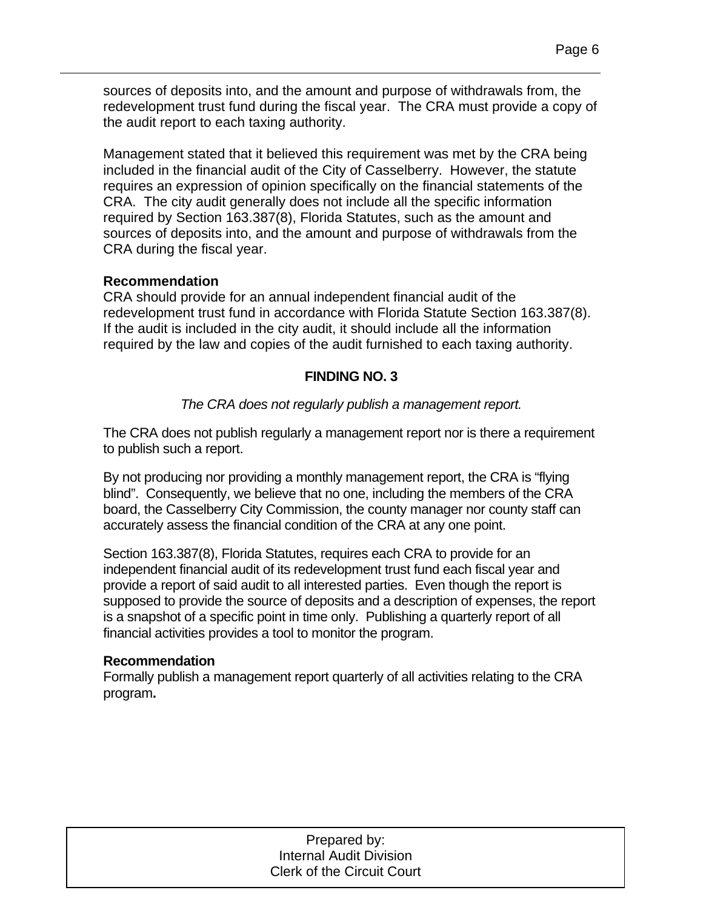sources of deposits into, and the amount and purpose of withdrawals from, the redevelopment trust fund during the fiscal year. The CRA must provide a copy of the audit report to each taxing authority.

Management stated that it believed this requirement was met by the CRA being included in the financial audit of the City of Casselberry. However, the statute requires an expression of opinion specifically on the financial statements of the CRA. The city audit generally does not include all the specific information required by Section 163.387(8), Florida Statutes, such as the amount and sources of deposits into, and the amount and purpose of withdrawals from the CRA during the fiscal year.

### **Recommendation**

CRA should provide for an annual independent financial audit of the redevelopment trust fund in accordance with Florida Statute Section 163.387(8). If the audit is included in the city audit, it should include all the information required by the law and copies of the audit furnished to each taxing authority.

### **FINDING NO. 3**

### *The CRA does not regularly publish a management report.*

The CRA does not publish regularly a management report nor is there a requirement to publish such a report.

By not producing nor providing a monthly management report, the CRA is "flying blind". Consequently, we believe that no one, including the members of the CRA board, the Casselberry City Commission, the county manager nor county staff can accurately assess the financial condition of the CRA at any one point.

Section 163.387(8), Florida Statutes, requires each CRA to provide for an independent financial audit of its redevelopment trust fund each fiscal year and provide a report of said audit to all interested parties. Even though the report is supposed to provide the source of deposits and a description of expenses, the report is a snapshot of a specific point in time only. Publishing a quarterly report of all financial activities provides a tool to monitor the program.

#### **Recommendation**

Formally publish a management report quarterly of all activities relating to the CRA program**.**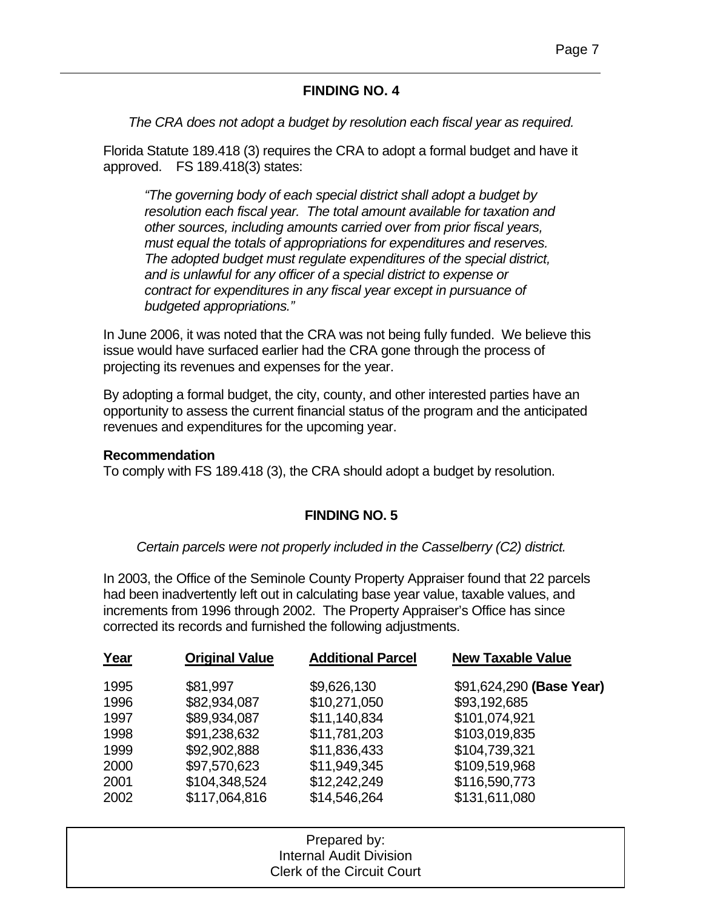### **FINDING NO. 4**

*The CRA does not adopt a budget by resolution each fiscal year as required.* 

Florida Statute 189.418 (3) requires the CRA to adopt a formal budget and have it approved. FS 189.418(3) states:

*"The governing body of each special district shall adopt a budget by resolution each fiscal year. The total amount available for taxation and other sources, including amounts carried over from prior fiscal years, must equal the totals of appropriations for expenditures and reserves. The adopted budget must regulate expenditures of the special district, and is unlawful for any officer of a special district to expense or contract for expenditures in any fiscal year except in pursuance of budgeted appropriations."* 

In June 2006, it was noted that the CRA was not being fully funded. We believe this issue would have surfaced earlier had the CRA gone through the process of projecting its revenues and expenses for the year.

By adopting a formal budget, the city, county, and other interested parties have an opportunity to assess the current financial status of the program and the anticipated revenues and expenditures for the upcoming year.

#### **Recommendation**

To comply with FS 189.418 (3), the CRA should adopt a budget by resolution.

### **FINDING NO. 5**

*Certain parcels were not properly included in the Casselberry (C2) district.* 

In 2003, the Office of the Seminole County Property Appraiser found that 22 parcels had been inadvertently left out in calculating base year value, taxable values, and increments from 1996 through 2002. The Property Appraiser's Office has since corrected its records and furnished the following adjustments.

| Year | <b>Original Value</b> | <b>Additional Parcel</b> | <b>New Taxable Value</b> |
|------|-----------------------|--------------------------|--------------------------|
| 1995 | \$81,997              | \$9,626,130              | \$91,624,290 (Base Year) |
| 1996 | \$82,934,087          | \$10,271,050             | \$93,192,685             |
| 1997 | \$89,934,087          | \$11,140,834             | \$101,074,921            |
| 1998 | \$91,238,632          | \$11,781,203             | \$103,019,835            |
| 1999 | \$92,902,888          | \$11,836,433             | \$104,739,321            |
| 2000 | \$97,570,623          | \$11,949,345             | \$109,519,968            |
| 2001 | \$104,348,524         | \$12,242,249             | \$116,590,773            |
| 2002 | \$117,064,816         | \$14,546,264             | \$131,611,080            |

| Prepared by:                      |  |
|-----------------------------------|--|
| <b>Internal Audit Division</b>    |  |
| <b>Clerk of the Circuit Court</b> |  |
|                                   |  |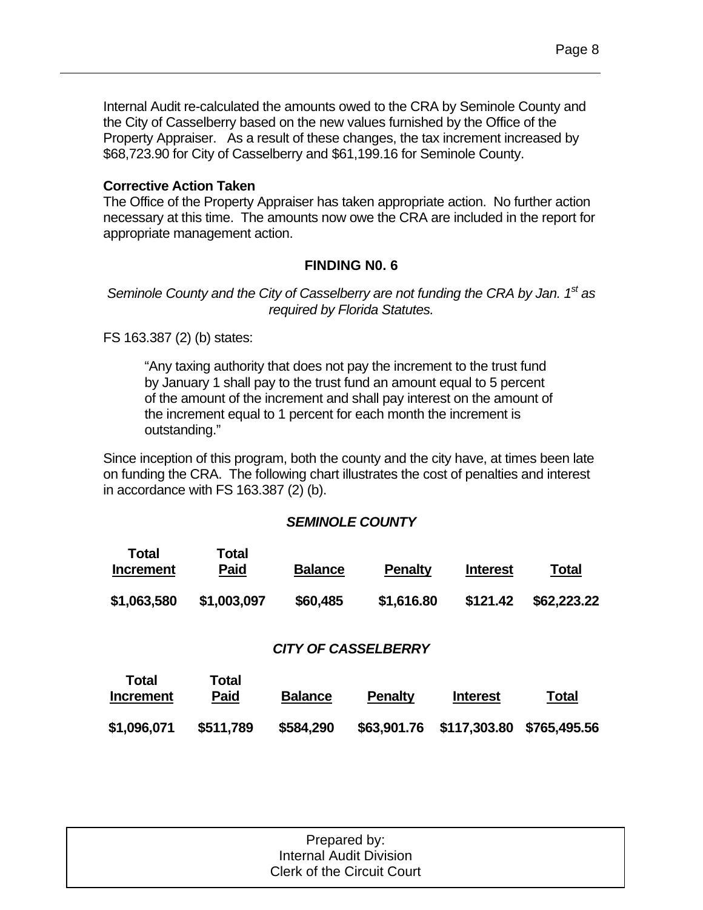### **Corrective Action Taken**

The Office of the Property Appraiser has taken appropriate action. No further action necessary at this time. The amounts now owe the CRA are included in the report for appropriate management action.

### **FINDING N0. 6**

#### *Seminole County and the City of Casselberry are not funding the CRA by Jan. 1st as required by Florida Statutes.*

FS 163.387 (2) (b) states:

"Any taxing authority that does not pay the increment to the trust fund by January 1 shall pay to the trust fund an amount equal to 5 percent of the amount of the increment and shall pay interest on the amount of the increment equal to 1 percent for each month the increment is outstanding."

Since inception of this program, both the county and the city have, at times been late on funding the CRA. The following chart illustrates the cost of penalties and interest in accordance with FS 163.387 (2) (b).

#### *SEMINOLE COUNTY*

| Total<br><b>Increment</b> | Total<br><b>Paid</b> | <b>Balance</b> | <b>Penalty</b> | <b>Interest</b> | <b>Total</b> |
|---------------------------|----------------------|----------------|----------------|-----------------|--------------|
| \$1,063,580               | \$1,003,097          | \$60,485       | \$1,616.80     | \$121.42        | \$62,223.22  |

#### *CITY OF CASSELBERRY*

| Total<br><b>Increment</b> | Total<br>Paid | <b>Balance</b> | <b>Penalty</b> | <b>Interest</b>           | <b>Total</b> |
|---------------------------|---------------|----------------|----------------|---------------------------|--------------|
| \$1,096,071               | \$511,789     | \$584,290      | \$63,901.76    | \$117,303.80 \$765,495.56 |              |

| Prepared by:                      |  |
|-----------------------------------|--|
| Internal Audit Division           |  |
| <b>Clerk of the Circuit Court</b> |  |
|                                   |  |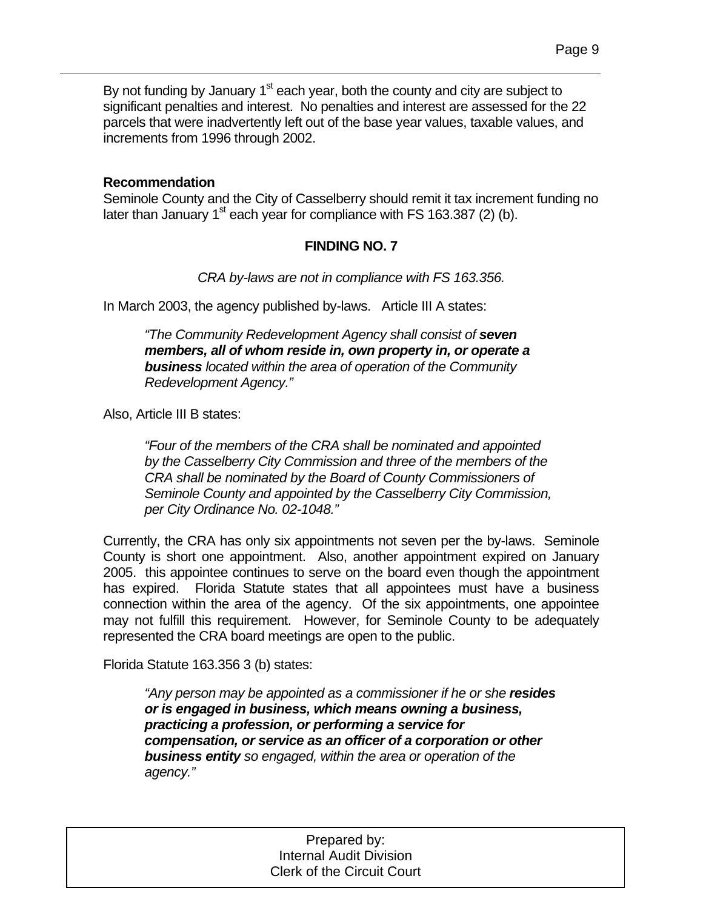By not funding by January  $1<sup>st</sup>$  each year, both the county and city are subject to significant penalties and interest. No penalties and interest are assessed for the 22 parcels that were inadvertently left out of the base year values, taxable values, and increments from 1996 through 2002.

#### **Recommendation**

Seminole County and the City of Casselberry should remit it tax increment funding no later than January  $1^{st}$  each year for compliance with FS 163.387 (2) (b).

#### **FINDING NO. 7**

*CRA by-laws are not in compliance with FS 163.356.* 

In March 2003, the agency published by-laws. Article III A states:

*"The Community Redevelopment Agency shall consist of seven members, all of whom reside in, own property in, or operate a business located within the area of operation of the Community Redevelopment Agency."* 

Also, Article III B states:

*"Four of the members of the CRA shall be nominated and appointed by the Casselberry City Commission and three of the members of the CRA shall be nominated by the Board of County Commissioners of Seminole County and appointed by the Casselberry City Commission, per City Ordinance No. 02-1048."* 

Currently, the CRA has only six appointments not seven per the by-laws. Seminole County is short one appointment. Also, another appointment expired on January 2005. this appointee continues to serve on the board even though the appointment has expired. Florida Statute states that all appointees must have a business connection within the area of the agency. Of the six appointments, one appointee may not fulfill this requirement. However, for Seminole County to be adequately represented the CRA board meetings are open to the public.

Florida Statute 163.356 3 (b) states:

*"Any person may be appointed as a commissioner if he or she resides or is engaged in business, which means owning a business, practicing a profession, or performing a service for compensation, or service as an officer of a corporation or other business entity so engaged, within the area or operation of the agency."* 

> 1 Prepared by: Internal Audit Division Clerk of the Circuit Court